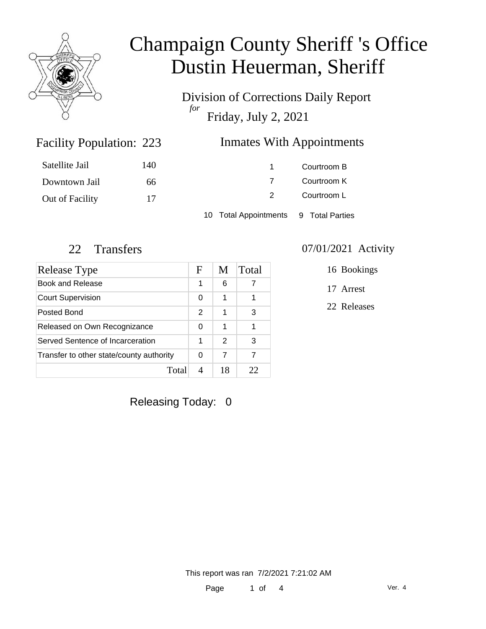

Division of Corrections Daily Report *for* Friday, July 2, 2021

### Inmates With Appointments

| Satellite Jail  | 140 | 1                                     | Courtroom B |
|-----------------|-----|---------------------------------------|-------------|
| Downtown Jail   | 66  |                                       | Courtroom K |
| Out of Facility | 17  |                                       | Courtroom L |
|                 |     | 10 Total Appointments 9 Total Parties |             |

Facility Population: 223

| Release Type                             | F             | M             | Total |
|------------------------------------------|---------------|---------------|-------|
| Book and Release                         |               | 6             | 7     |
| <b>Court Supervision</b>                 |               | 1             | 1     |
| Posted Bond                              | $\mathcal{P}$ | 1             | 3     |
| Released on Own Recognizance             |               | 1             | 1     |
| Served Sentence of Incarceration         |               | $\mathcal{P}$ | 3     |
| Transfer to other state/county authority |               | 7             | 7     |
| Total                                    |               | 18            | つつ    |

### 22 Transfers 07/01/2021 Activity

16 Bookings

17 Arrest

22 Releases

Releasing Today: 0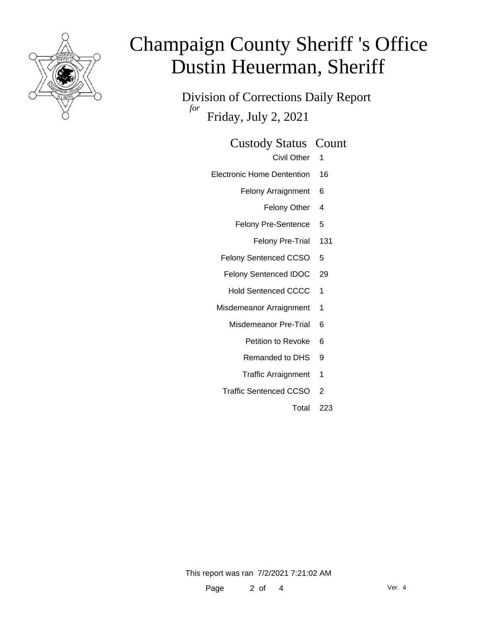

Division of Corrections Daily Report *for* Friday, July 2, 2021

### Custody Status Count

- Civil Other 1
- Electronic Home Dentention 16
	- Felony Arraignment 6
		- Felony Other 4
	- Felony Pre-Sentence 5
		- Felony Pre-Trial 131
	- Felony Sentenced CCSO 5
	- Felony Sentenced IDOC 29
		- Hold Sentenced CCCC 1
	- Misdemeanor Arraignment 1
		- Misdemeanor Pre-Trial 6
			- Petition to Revoke 6
			- Remanded to DHS 9
			- Traffic Arraignment 1
		- Traffic Sentenced CCSO 2
			- Total 223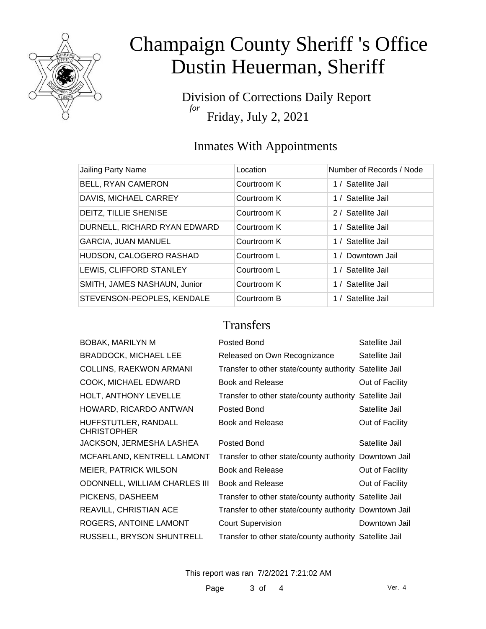

Division of Corrections Daily Report *for* Friday, July 2, 2021

### Inmates With Appointments

| Location    | Number of Records / Node |
|-------------|--------------------------|
| Courtroom K | 1 / Satellite Jail       |
| Courtroom K | 1 / Satellite Jail       |
| Courtroom K | 2 / Satellite Jail       |
| Courtroom K | 1 / Satellite Jail       |
| Courtroom K | 1 / Satellite Jail       |
| Courtroom L | 1 / Downtown Jail        |
| Courtroom L | 1 / Satellite Jail       |
| Courtroom K | 1 / Satellite Jail       |
| Courtroom B | 1 / Satellite Jail       |
|             |                          |

#### **Transfers**

| Posted Bond                  | Satellite Jail                                                                                                                                                                                                                                                                                                                                               |
|------------------------------|--------------------------------------------------------------------------------------------------------------------------------------------------------------------------------------------------------------------------------------------------------------------------------------------------------------------------------------------------------------|
| Released on Own Recognizance | Satellite Jail                                                                                                                                                                                                                                                                                                                                               |
|                              |                                                                                                                                                                                                                                                                                                                                                              |
| <b>Book and Release</b>      | Out of Facility                                                                                                                                                                                                                                                                                                                                              |
|                              |                                                                                                                                                                                                                                                                                                                                                              |
| Posted Bond                  | Satellite Jail                                                                                                                                                                                                                                                                                                                                               |
| Book and Release             | Out of Facility                                                                                                                                                                                                                                                                                                                                              |
| Posted Bond                  | Satellite Jail                                                                                                                                                                                                                                                                                                                                               |
|                              |                                                                                                                                                                                                                                                                                                                                                              |
| <b>Book and Release</b>      | Out of Facility                                                                                                                                                                                                                                                                                                                                              |
| Book and Release             | Out of Facility                                                                                                                                                                                                                                                                                                                                              |
|                              |                                                                                                                                                                                                                                                                                                                                                              |
|                              |                                                                                                                                                                                                                                                                                                                                                              |
| <b>Court Supervision</b>     | Downtown Jail                                                                                                                                                                                                                                                                                                                                                |
|                              |                                                                                                                                                                                                                                                                                                                                                              |
|                              | Transfer to other state/county authority Satellite Jail<br>Transfer to other state/county authority Satellite Jail<br>Transfer to other state/county authority Downtown Jail<br>Transfer to other state/county authority Satellite Jail<br>Transfer to other state/county authority Downtown Jail<br>Transfer to other state/county authority Satellite Jail |